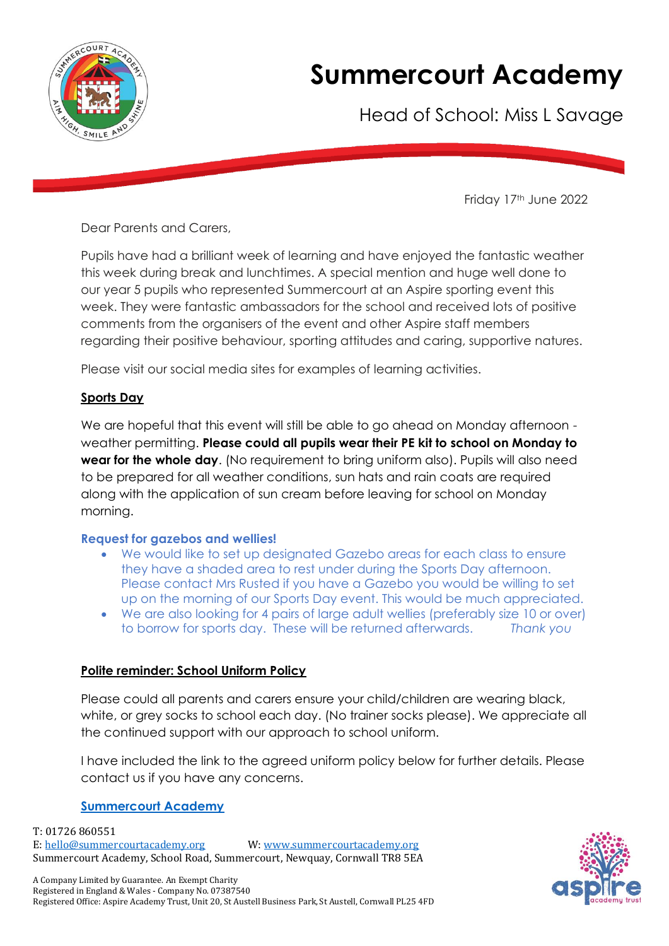

## **Summercourt Academy**

Head of School: Miss L Savage

Friday 17th June 2022

Dear Parents and Carers,

Pupils have had a brilliant week of learning and have enjoyed the fantastic weather this week during break and lunchtimes. A special mention and huge well done to our year 5 pupils who represented Summercourt at an Aspire sporting event this week. They were fantastic ambassadors for the school and received lots of positive comments from the organisers of the event and other Aspire staff members regarding their positive behaviour, sporting attitudes and caring, supportive natures.

Please visit our social media sites for examples of learning activities.

## **Sports Day**

We are hopeful that this event will still be able to go ahead on Monday afternoon weather permitting. **Please could all pupils wear their PE kit to school on Monday to wear for the whole day**. (No requirement to bring uniform also). Pupils will also need to be prepared for all weather conditions, sun hats and rain coats are required along with the application of sun cream before leaving for school on Monday morning.

## **Request for gazebos and wellies!**

- We would like to set up designated Gazebo areas for each class to ensure they have a shaded area to rest under during the Sports Day afternoon. Please contact Mrs Rusted if you have a Gazebo you would be willing to set up on the morning of our Sports Day event. This would be much appreciated.
- We are also looking for 4 pairs of large adult wellies (preferably size 10 or over) to borrow for sports day. These will be returned afterwards. *Thank you*

## **Polite reminder: School Uniform Policy**

Please could all parents and carers ensure your child/children are wearing black, white, or grey socks to school each day. (No trainer socks please). We appreciate all the continued support with our approach to school uniform.

I have included the link to the agreed uniform policy below for further details. Please contact us if you have any concerns.

## **[Summercourt Academy](https://eur02.safelinks.protection.outlook.com/?url=https%3A%2F%2Fwww.summercourtacademy.org%2Fweb%2Fschool_uniform%2F227237&data=05%7C01%7CGemma.rusted%40summercourtacademy.org%7Cf1b9a597f3cb42c707f308da4fb2c39b%7C199653adc1564a05bad3084c1a30b618%7C0%7C0%7C637909926436430484%7CUnknown%7CTWFpbGZsb3d8eyJWIjoiMC4wLjAwMDAiLCJQIjoiV2luMzIiLCJBTiI6Ik1haWwiLCJXVCI6Mn0%3D%7C3000%7C%7C%7C&sdata=AQqDgXH4sou5QyvHWcZ3bC%2F9tU7JDzgg7jFOiJkBTdQ%3D&reserved=0)**

T: 01726 860551 E: [hello@summercourtacademy.org](mailto:hello@summercourtacademy.org) W: [www.summercourtacademy.org](http://www.summercourtacademy.org/) Summercourt Academy, School Road, Summercourt, Newquay, Cornwall TR8 5EA

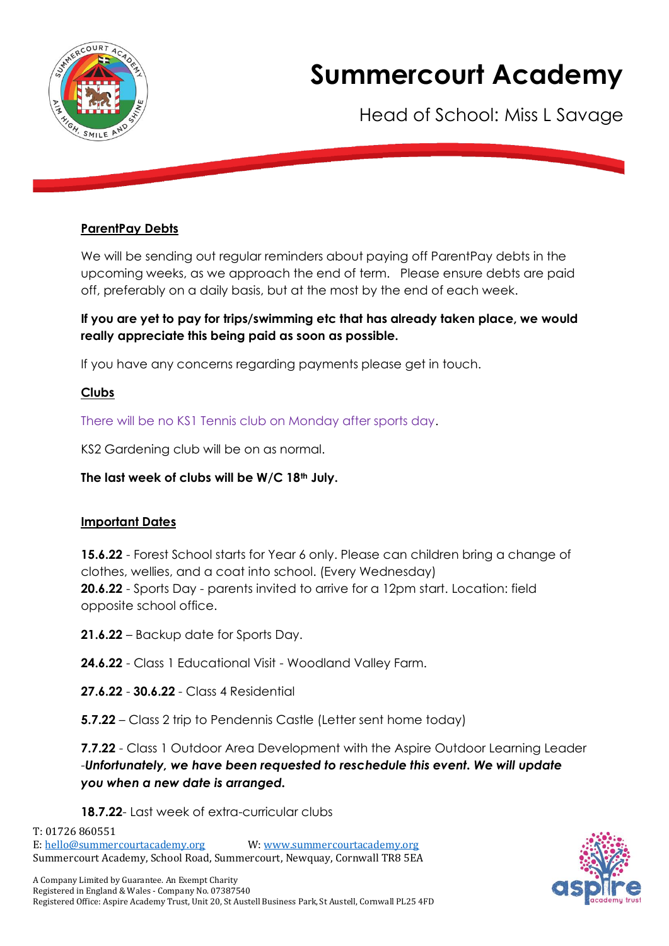

# **Summercourt Academy**

Head of School: Miss L Savage

#### **ParentPay Debts**

We will be sending out regular reminders about paying off ParentPay debts in the upcoming weeks, as we approach the end of term. Please ensure debts are paid off, preferably on a daily basis, but at the most by the end of each week.

#### **If you are yet to pay for trips/swimming etc that has already taken place, we would really appreciate this being paid as soon as possible.**

If you have any concerns regarding payments please get in touch.

#### **Clubs**

There will be no KS1 Tennis club on Monday after sports day.

KS2 Gardening club will be on as normal.

#### **The last week of clubs will be W/C 18th July.**

#### **Important Dates**

**15.6.22** - Forest School starts for Year 6 only. Please can children bring a change of clothes, wellies, and a coat into school. (Every Wednesday) **20.6.22** - Sports Day - parents invited to arrive for a 12pm start. Location: field opposite school office.

**21.6.22** – Backup date for Sports Day.

**24.6.22** - Class 1 Educational Visit - Woodland Valley Farm.

**27.6.22** - **30.6.22** - Class 4 Residential

**5.7.22** – Class 2 trip to Pendennis Castle (Letter sent home today)

**7.7.22** - Class 1 Outdoor Area Development with the Aspire Outdoor Learning Leader -*Unfortunately, we have been requested to reschedule this event. We will update you when a new date is arranged.* 

#### **18.7.22**- Last week of extra-curricular clubs